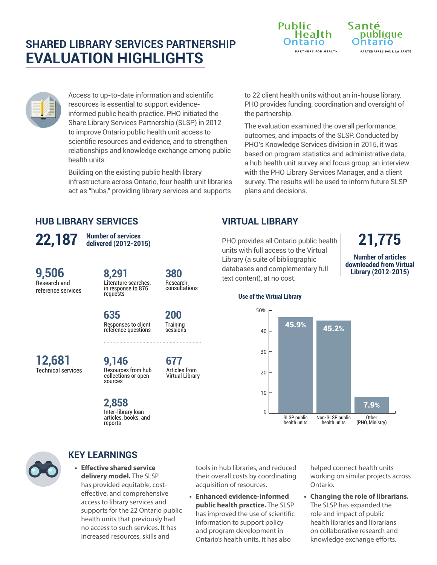# **SHARED LIBRARY SERVICES PARTNERSHIP EVALUATION HIGHLIGHTS**





**Number of articles downloaded from Virtual Library (2012-2015)**



Access to up-to-date information and scientific resources is essential to support evidenceinformed public health practice. PHO initiated the Share Library Services Partnership (SLSP) in 2012 to improve Ontario public health unit access to scientific resources and evidence, and to strengthen relationships and knowledge exchange among public health units.

Building on the existing public health library infrastructure across Ontario, four health unit libraries act as "hubs," providing library services and supports

to 22 client health units without an in-house library. PHO provides funding, coordination and oversight of the partnership.

The evaluation examined the overall performance, outcomes, and impacts of the SLSP. Conducted by PHO's Knowledge Services division in 2015, it was based on program statistics and administrative data, a hub health unit survey and focus group, an interview with the PHO Library Services Manager, and a client survey. The results will be used to inform future SLSP plans and decisions.

## **HUB LIBRARY SERVICES**

PHO provides all Ontario public health **22,187 21,775**

Research and reference services **9,506**

Literature searches, in response to 876 requests **8,291**

**Number of services delivered (2012-2015)**

> Research consultations **380**

Responses to client reference questions **635**

**Training** sessions **200**

> Articles from Virtual Library

**677**

Technical services **12,681**

Resources from hub collections or open sources **9,146**

Inter-library loan articles, books, and reports





## **KEY LEARNINGS**

**• Effective shared service delivery model.** The SLSP has provided equitable, costeffective, and comprehensive access to library services and supports for the 22 Ontario public health units that previously had no access to such services. It has increased resources, skills and

tools in hub libraries, and reduced their overall costs by coordinating acquisition of resources.

**• Enhanced evidence-informed public health practice.** The SLSP has improved the use of scientific information to support policy and program development in Ontario's health units. It has also

helped connect health units working on similar projects across Ontario.

**• Changing the role of librarians.**  The SLSP has expanded the role and impact of public health libraries and librarians on collaborative research and knowledge exchange efforts.

#### **Use of the Virtual Library**

**VIRTUAL LIBRARY**

text content), at no cost.



units with full access to the Virtual Library (a suite of bibliographic databases and complementary full